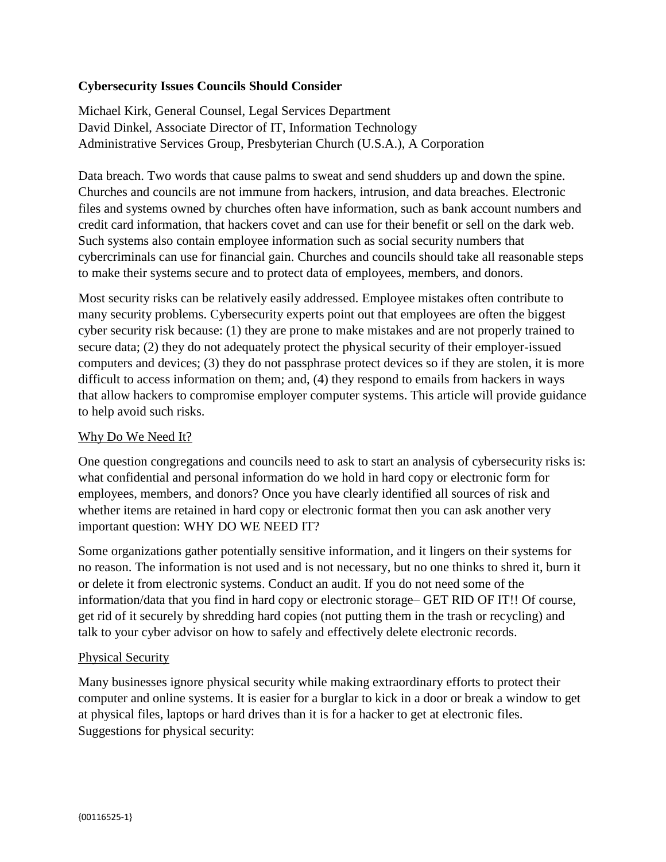## **Cybersecurity Issues Councils Should Consider**

Michael Kirk, General Counsel, Legal Services Department David Dinkel, Associate Director of IT, Information Technology Administrative Services Group, Presbyterian Church (U.S.A.), A Corporation

Data breach. Two words that cause palms to sweat and send shudders up and down the spine. Churches and councils are not immune from hackers, intrusion, and data breaches. Electronic files and systems owned by churches often have information, such as bank account numbers and credit card information, that hackers covet and can use for their benefit or sell on the dark web. Such systems also contain employee information such as social security numbers that cybercriminals can use for financial gain. Churches and councils should take all reasonable steps to make their systems secure and to protect data of employees, members, and donors.

Most security risks can be relatively easily addressed. Employee mistakes often contribute to many security problems. Cybersecurity experts point out that employees are often the biggest cyber security risk because: (1) they are prone to make mistakes and are not properly trained to secure data; (2) they do not adequately protect the physical security of their employer-issued computers and devices; (3) they do not passphrase protect devices so if they are stolen, it is more difficult to access information on them; and, (4) they respond to emails from hackers in ways that allow hackers to compromise employer computer systems. This article will provide guidance to help avoid such risks.

#### Why Do We Need It?

One question congregations and councils need to ask to start an analysis of cybersecurity risks is: what confidential and personal information do we hold in hard copy or electronic form for employees, members, and donors? Once you have clearly identified all sources of risk and whether items are retained in hard copy or electronic format then you can ask another very important question: WHY DO WE NEED IT?

Some organizations gather potentially sensitive information, and it lingers on their systems for no reason. The information is not used and is not necessary, but no one thinks to shred it, burn it or delete it from electronic systems. Conduct an audit. If you do not need some of the information/data that you find in hard copy or electronic storage– GET RID OF IT!! Of course, get rid of it securely by shredding hard copies (not putting them in the trash or recycling) and talk to your cyber advisor on how to safely and effectively delete electronic records.

#### Physical Security

Many businesses ignore physical security while making extraordinary efforts to protect their computer and online systems. It is easier for a burglar to kick in a door or break a window to get at physical files, laptops or hard drives than it is for a hacker to get at electronic files. Suggestions for physical security: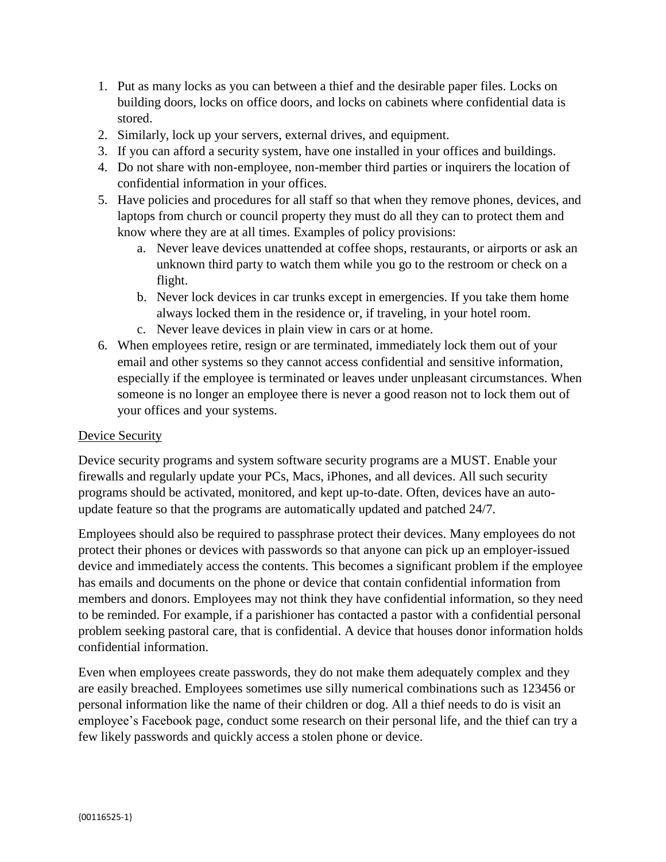- 1. Put as many locks as you can between a thief and the desirable paper files. Locks on building doors, locks on office doors, and locks on cabinets where confidential data is stored.
- 2. Similarly, lock up your servers, external drives, and equipment.
- 3. If you can afford a security system, have one installed in your offices and buildings.
- 4. Do not share with non-employee, non-member third parties or inquirers the location of confidential information in your offices.
- 5. Have policies and procedures for all staff so that when they remove phones, devices, and laptops from church or council property they must do all they can to protect them and know where they are at all times. Examples of policy provisions:
	- a. Never leave devices unattended at coffee shops, restaurants, or airports or ask an unknown third party to watch them while you go to the restroom or check on a flight.
	- b. Never lock devices in car trunks except in emergencies. If you take them home always locked them in the residence or, if traveling, in your hotel room.
	- c. Never leave devices in plain view in cars or at home.
- 6. When employees retire, resign or are terminated, immediately lock them out of your email and other systems so they cannot access confidential and sensitive information, especially if the employee is terminated or leaves under unpleasant circumstances. When someone is no longer an employee there is never a good reason not to lock them out of your offices and your systems.

## Device Security

Device security programs and system software security programs are a MUST. Enable your firewalls and regularly update your PCs, Macs, iPhones, and all devices. All such security programs should be activated, monitored, and kept up-to-date. Often, devices have an autoupdate feature so that the programs are automatically updated and patched 24/7.

Employees should also be required to passphrase protect their devices. Many employees do not protect their phones or devices with passwords so that anyone can pick up an employer-issued device and immediately access the contents. This becomes a significant problem if the employee has emails and documents on the phone or device that contain confidential information from members and donors. Employees may not think they have confidential information, so they need to be reminded. For example, if a parishioner has contacted a pastor with a confidential personal problem seeking pastoral care, that is confidential. A device that houses donor information holds confidential information.

Even when employees create passwords, they do not make them adequately complex and they are easily breached. Employees sometimes use silly numerical combinations such as 123456 or personal information like the name of their children or dog. All a thief needs to do is visit an employee's Facebook page, conduct some research on their personal life, and the thief can try a few likely passwords and quickly access a stolen phone or device.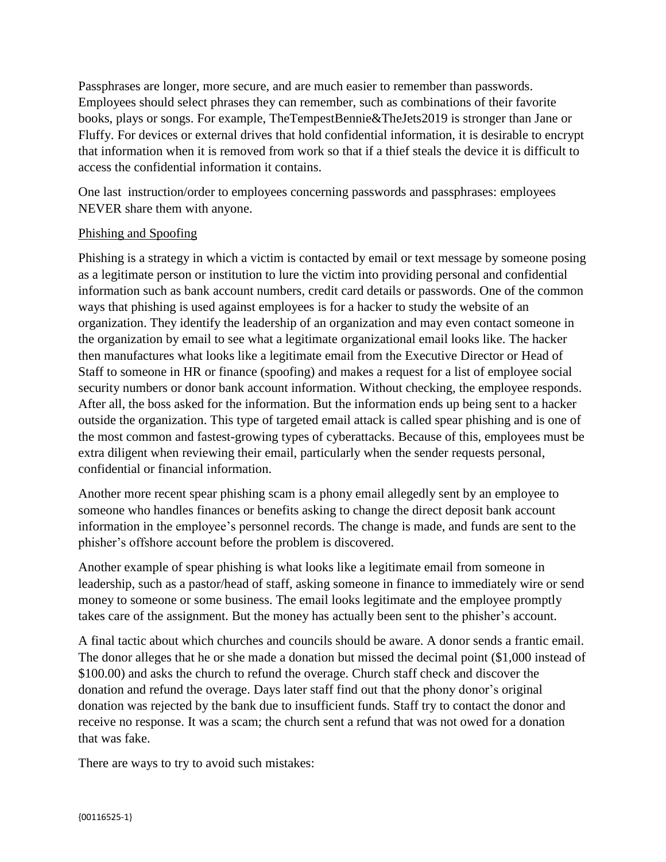Passphrases are longer, more secure, and are much easier to remember than passwords. Employees should select phrases they can remember, such as combinations of their favorite books, plays or songs. For example, TheTempestBennie&TheJets2019 is stronger than Jane or Fluffy. For devices or external drives that hold confidential information, it is desirable to encrypt that information when it is removed from work so that if a thief steals the device it is difficult to access the confidential information it contains.

One last instruction/order to employees concerning passwords and passphrases: employees NEVER share them with anyone.

#### Phishing and Spoofing

Phishing is a strategy in which a victim is contacted by email or text message by someone posing as a legitimate person or institution to lure the victim into providing personal and confidential information such as bank account numbers, credit card details or passwords. One of the common ways that phishing is used against employees is for a hacker to study the website of an organization. They identify the leadership of an organization and may even contact someone in the organization by email to see what a legitimate organizational email looks like. The hacker then manufactures what looks like a legitimate email from the Executive Director or Head of Staff to someone in HR or finance (spoofing) and makes a request for a list of employee social security numbers or donor bank account information. Without checking, the employee responds. After all, the boss asked for the information. But the information ends up being sent to a hacker outside the organization. This type of targeted email attack is called spear phishing and is one of the most common and fastest-growing types of cyberattacks. Because of this, employees must be extra diligent when reviewing their email, particularly when the sender requests personal, confidential or financial information.

Another more recent spear phishing scam is a phony email allegedly sent by an employee to someone who handles finances or benefits asking to change the direct deposit bank account information in the employee's personnel records. The change is made, and funds are sent to the phisher's offshore account before the problem is discovered.

Another example of spear phishing is what looks like a legitimate email from someone in leadership, such as a pastor/head of staff, asking someone in finance to immediately wire or send money to someone or some business. The email looks legitimate and the employee promptly takes care of the assignment. But the money has actually been sent to the phisher's account.

A final tactic about which churches and councils should be aware. A donor sends a frantic email. The donor alleges that he or she made a donation but missed the decimal point (\$1,000 instead of \$100.00) and asks the church to refund the overage. Church staff check and discover the donation and refund the overage. Days later staff find out that the phony donor's original donation was rejected by the bank due to insufficient funds. Staff try to contact the donor and receive no response. It was a scam; the church sent a refund that was not owed for a donation that was fake.

There are ways to try to avoid such mistakes: